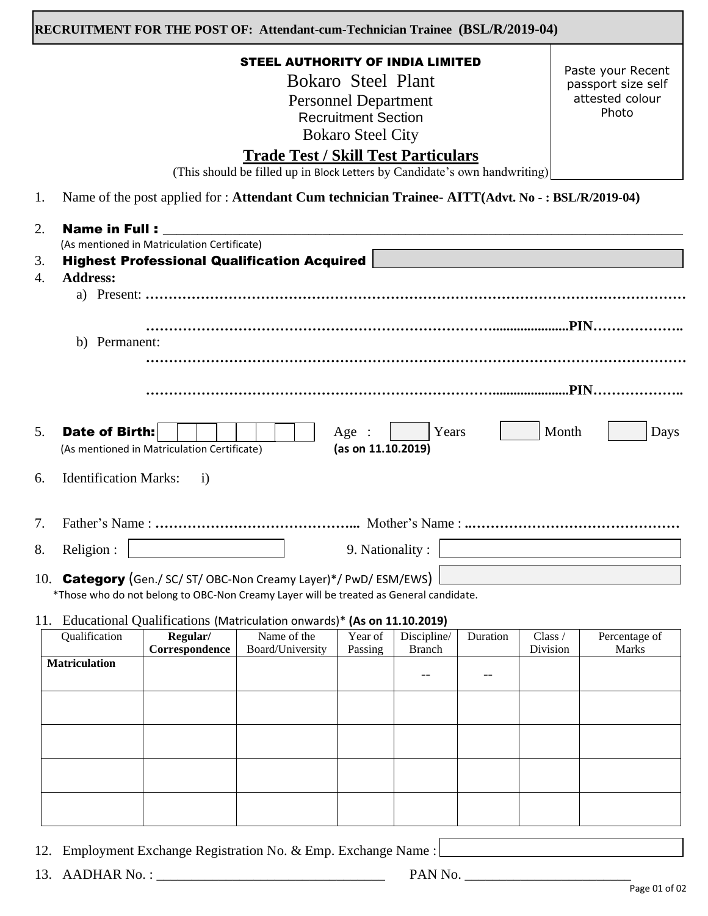| RECRUITMENT FOR THE POST OF: Attendant-cum-Technician Trainee (BSL/R/2019-04) |  |  |
|-------------------------------------------------------------------------------|--|--|
|-------------------------------------------------------------------------------|--|--|

### STEEL AUTHORITY OF INDIA LIMITED

Bokaro Steel Plant Personnel Department Recruitment Section Bokaro Steel City

Paste your Recent passport size self attested colour Photo

# **Trade Test / Skill Test Particulars**

(This should be filled up in Block Letters by Candidate's own handwriting)

1. Name of the post applied for : **Attendant Cum technician Trainee- AITT(Advt. No - : BSL/R/2019-04)** ֞

| 2.<br>3.<br>4.                   | <b>Name in Full:</b><br>(As mentioned in Matriculation Certificate)<br><b>Highest Professional Qualification Acquired</b><br><b>Address:</b> |
|----------------------------------|----------------------------------------------------------------------------------------------------------------------------------------------|
|                                  |                                                                                                                                              |
|                                  | Permanent:<br>b)                                                                                                                             |
|                                  |                                                                                                                                              |
| 5.                               | Date of Birth:<br>Years<br>Month<br>Age :<br>Days<br>(as on 11.10.2019)<br>(As mentioned in Matriculation Certificate)                       |
| 6.                               | <b>Identification Marks:</b><br>$\overline{1}$                                                                                               |
| $7_{\scriptscriptstyle{\ddots}}$ |                                                                                                                                              |
| 8.                               | Religion :<br>9. Nationality :                                                                                                               |
|                                  | 10. Category (Gen./ SC/ ST/ OBC-Non Creamy Layer)*/ PwD/ ESM/EWS)                                                                            |

\*Those who do not belong to OBC-Non Creamy Layer will be treated as General candidate.

11. Educational Qualifications (Matriculation onwards)\* **(As on 11.10.2019)**

| ∼<br>Qualification   | Regular/<br>Correspondence | Name of the<br>Board/University | Year of<br>Passing | . .<br>Discipline/<br><b>Branch</b> | Duration | Class /<br>Division | Percentage of<br>Marks |
|----------------------|----------------------------|---------------------------------|--------------------|-------------------------------------|----------|---------------------|------------------------|
| <b>Matriculation</b> |                            |                                 |                    |                                     |          |                     |                        |
|                      |                            |                                 |                    |                                     |          |                     |                        |
|                      |                            |                                 |                    |                                     |          |                     |                        |
|                      |                            |                                 |                    |                                     |          |                     |                        |
|                      |                            |                                 |                    |                                     |          |                     |                        |

- 12. Employment Exchange Registration No. & Emp. Exchange Name :
- 13. AADHAR No. : \_\_\_\_\_\_\_\_\_\_\_\_\_\_\_\_\_\_\_\_\_\_\_\_\_\_\_\_\_\_\_\_\_ PAN No. \_\_\_\_\_\_\_\_\_\_\_\_\_\_\_\_\_\_\_\_\_\_\_\_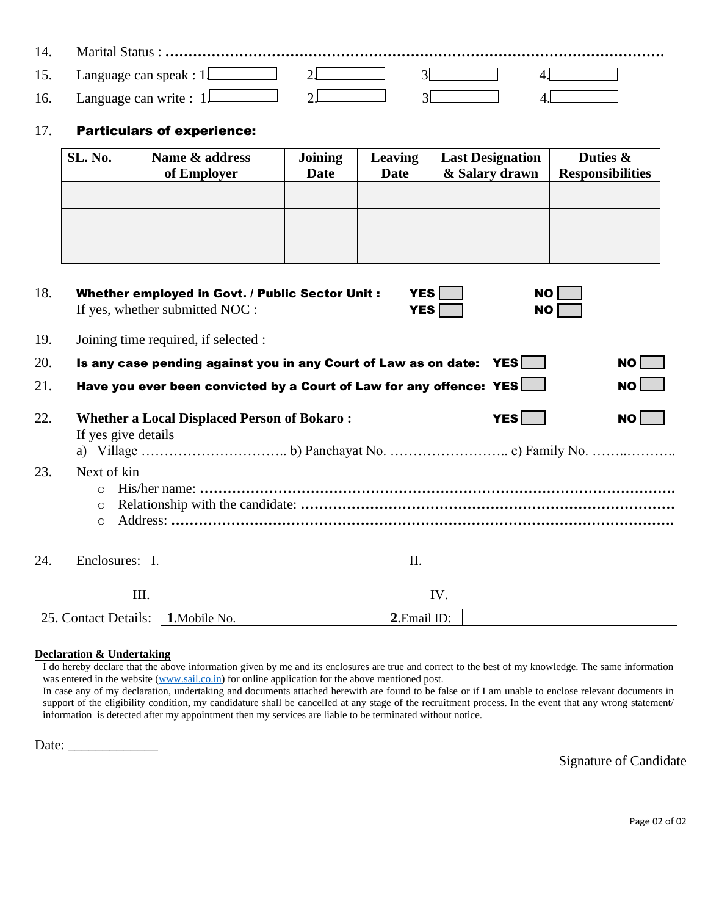| 15. | Language can speak : $1$     |  |  |
|-----|------------------------------|--|--|
| 16. | Language can write : $1\Box$ |  |  |

### 17. Particulars of experience:

| SL. No. | Name & address<br>of Employer | <b>Joining</b><br><b>Date</b> | <b>Leaving</b><br><b>Date</b> | <b>Last Designation</b><br>& Salary drawn | Duties &<br><b>Responsibilities</b> |
|---------|-------------------------------|-------------------------------|-------------------------------|-------------------------------------------|-------------------------------------|
|         |                               |                               |                               |                                           |                                     |
|         |                               |                               |                               |                                           |                                     |
|         |                               |                               |                               |                                           |                                     |

| 18. | Whether employed in Govt. / Public Sector Unit :<br>If yes, whether submitted NOC : | <b>YES</b><br><b>YES</b> | <b>NO</b><br><b>NO</b> |              |
|-----|-------------------------------------------------------------------------------------|--------------------------|------------------------|--------------|
| 19. | Joining time required, if selected :                                                |                          |                        |              |
| 20. | Is any case pending against you in any Court of Law as on date: YES                 |                          |                        | NO <b>NO</b> |
| 21. | Have you ever been convicted by a Court of Law for any offence: YES                 |                          |                        | NO           |
| 22. | <b>Whether a Local Displaced Person of Bokaro:</b><br>If yes give details           |                          | YES                    | $NO$ $\Box$  |
| 23. | Next of kin<br>$\Omega$<br>$\circ$                                                  |                          |                        |              |
|     | $\circ$                                                                             |                          |                        |              |
| 24. | Enclosures: I.                                                                      | П.                       |                        |              |
|     | III.                                                                                | IV.                      |                        |              |
|     | 25. Contact Details:<br>1. Mobile No.                                               | 2. Email ID:             |                        |              |

#### **Declaration & Undertaking**

I do hereby declare that the above information given by me and its enclosures are true and correct to the best of my knowledge. The same information was entered in the website [\(www.sail.co.in\)](http://www.sail.co.in/) for online application for the above mentioned post. In case any of my declaration, undertaking and documents attached herewith are found to be false or if I am unable to enclose relevant documents in support of the eligibility condition, my candidature shall be cancelled at any stage of the recruitment process. In the event that any wrong statement/ information is detected after my appointment then my services are liable to be terminated without notice.

Date:

Signature of Candidate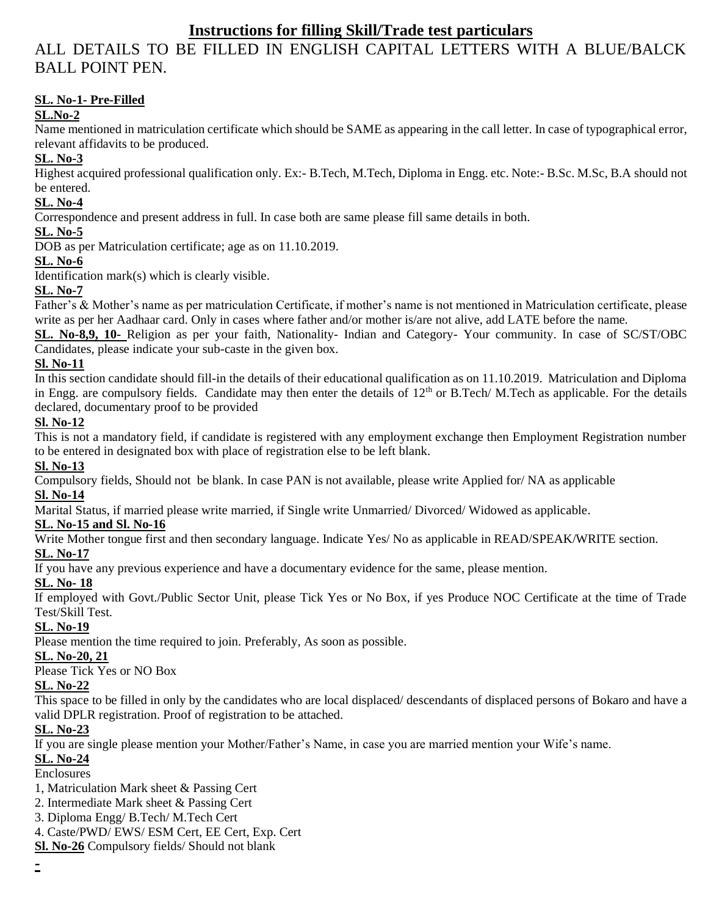## **Instructions for filling Skill/Trade test particulars**

# ALL DETAILS TO BE FILLED IN ENGLISH CAPITAL LETTERS WITH A BLUE/BALCK BALL POINT PEN.

## **SL. No-1- Pre-Filled**

## **SL.No-2**

Name mentioned in matriculation certificate which should be SAME as appearing in the call letter. In case of typographical error, relevant affidavits to be produced.

### **SL. No-3**

Highest acquired professional qualification only. Ex:- B.Tech, M.Tech, Diploma in Engg. etc. Note:- B.Sc. M.Sc, B.A should not be entered.

## **SL. No-4**

Correspondence and present address in full. In case both are same please fill same details in both.

### **SL. No-5**

DOB as per Matriculation certificate; age as on 11.10.2019.

#### **SL. No-6**

Identification mark(s) which is clearly visible.

## **SL. No-7**

Father's & Mother's name as per matriculation Certificate, if mother's name is not mentioned in Matriculation certificate, please write as per her Aadhaar card. Only in cases where father and/or mother is/are not alive, add LATE before the name.

**SL. No-8,9, 10-** Religion as per your faith, Nationality- Indian and Category- Your community. In case of SC/ST/OBC Candidates, please indicate your sub-caste in the given box.

## **Sl. No-11**

In this section candidate should fill-in the details of their educational qualification as on 11.10.2019. Matriculation and Diploma in Engg. are compulsory fields. Candidate may then enter the details of  $12<sup>th</sup>$  or B.Tech/ M.Tech as applicable. For the details declared, documentary proof to be provided

### **Sl. No-12**

This is not a mandatory field, if candidate is registered with any employment exchange then Employment Registration number to be entered in designated box with place of registration else to be left blank.

#### **Sl. No-13**

Compulsory fields, Should not be blank. In case PAN is not available, please write Applied for/ NA as applicable **Sl. No-14**

Marital Status, if married please write married, if Single write Unmarried/ Divorced/ Widowed as applicable.

#### **SL. No-15 and Sl. No-16**

Write Mother tongue first and then secondary language. Indicate Yes/ No as applicable in READ/SPEAK/WRITE section.

## **SL. No-17**

If you have any previous experience and have a documentary evidence for the same, please mention.

#### **SL. No- 18**

If employed with Govt./Public Sector Unit, please Tick Yes or No Box, if yes Produce NOC Certificate at the time of Trade Test/Skill Test.

## **SL. No-19**

Please mention the time required to join. Preferably, As soon as possible.

#### **SL. No-20, 21**

Please Tick Yes or NO Box

#### **SL. No-22**

This space to be filled in only by the candidates who are local displaced/ descendants of displaced persons of Bokaro and have a valid DPLR registration. Proof of registration to be attached.

## **SL. No-23**

If you are single please mention your Mother/Father's Name, in case you are married mention your Wife's name.

## **SL. No-24**

Enclosures

- 1, Matriculation Mark sheet & Passing Cert
- 2. Intermediate Mark sheet & Passing Cert
- 3. Diploma Engg/ B.Tech/ M.Tech Cert
- 4. Caste/PWD/ EWS/ ESM Cert, EE Cert, Exp. Cert
- **Sl. No-26** Compulsory fields/ Should not blank